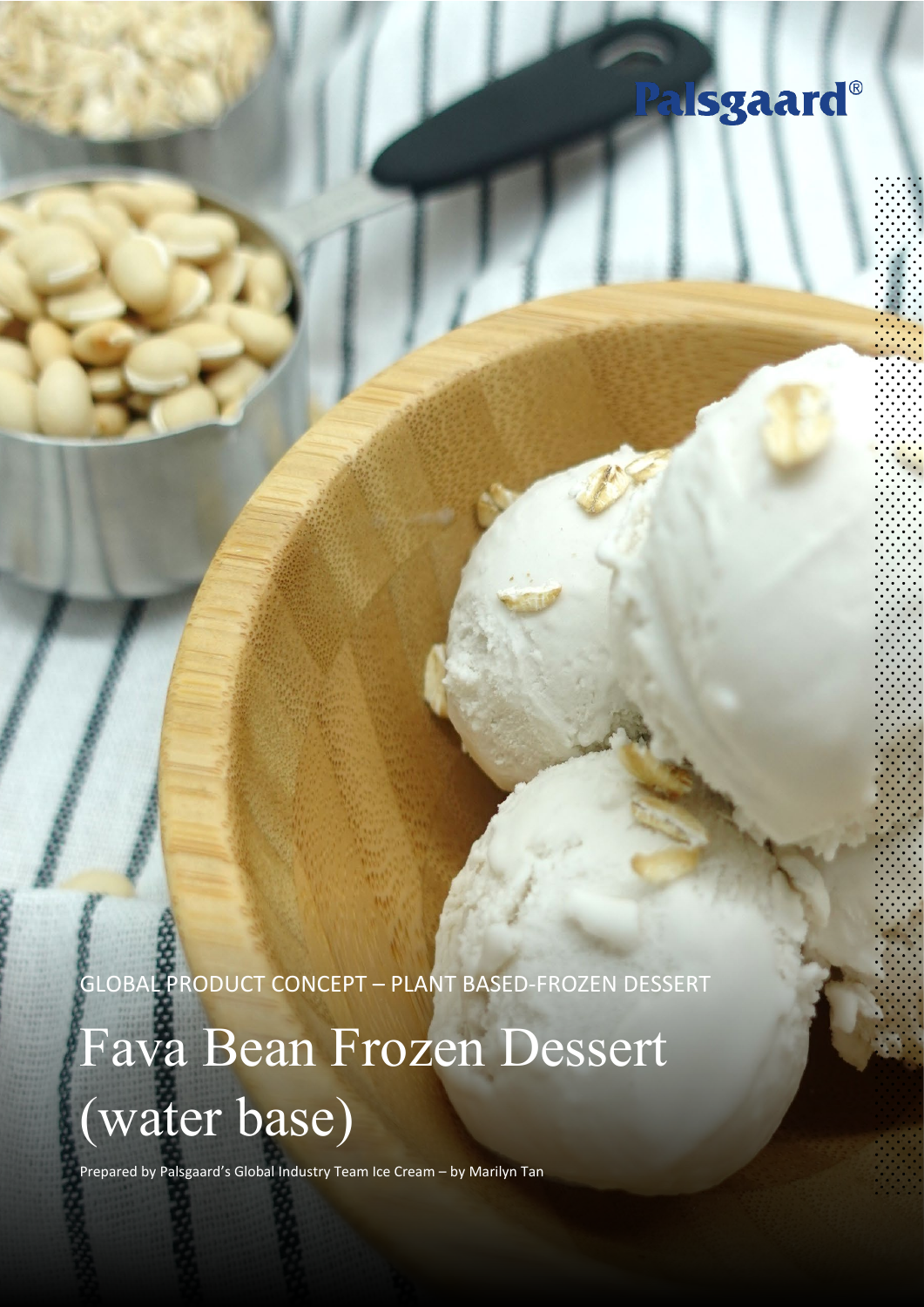## Palsgaard®

GLOBAL PRODUCT CONCEPT – PLANT BASED-FROZEN DESSERT

# Fava Bean Frozen Dessert (water base)

Prepared by Palsgaard's Global Industry Team Ice Cream – by Marilyn Tan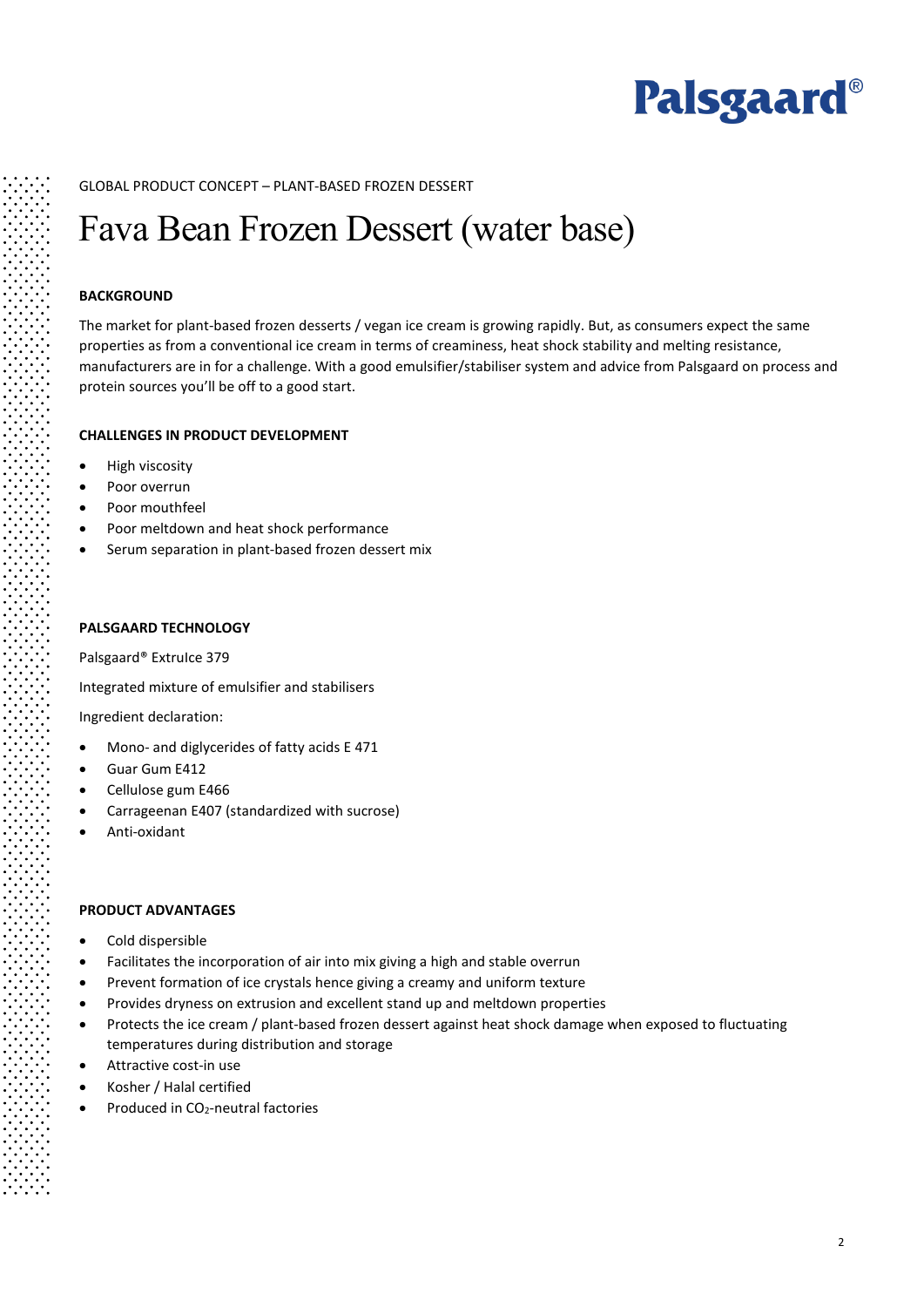

#### GLOBAL PRODUCT CONCEPT – PLANT-BASED FROZEN DESSERT

### Fava Bean Frozen Dessert (water base)

#### **BACKGROUND**

The market for plant-based frozen desserts / vegan ice cream is growing rapidly. But, as consumers expect the same properties as from a conventional ice cream in terms of creaminess, heat shock stability and melting resistance, manufacturers are in for a challenge. With a good emulsifier/stabiliser system and advice from Palsgaard on process and protein sources you'll be off to a good start.

#### **CHALLENGES IN PRODUCT DEVELOPMENT**

- High viscosity
- Poor overrun
- Poor mouthfeel
- Poor meltdown and heat shock performance
- Serum separation in plant-based frozen dessert mix

#### **PALSGAARD TECHNOLOGY**

Palsgaard® ExtruIce 379

Integrated mixture of emulsifier and stabilisers

Ingredient declaration:

- Mono- and diglycerides of fatty acids E 471
- Guar Gum E412
- Cellulose gum E466
- Carrageenan E407 (standardized with sucrose)
- Anti-oxidant

#### **PRODUCT ADVANTAGES**

- Cold dispersible
- Facilitates the incorporation of air into mix giving a high and stable overrun
- Prevent formation of ice crystals hence giving a creamy and uniform texture
- Provides dryness on extrusion and excellent stand up and meltdown properties
- Protects the ice cream / plant-based frozen dessert against heat shock damage when exposed to fluctuating temperatures during distribution and storage
- Attractive cost-in use
- Kosher / Halal certified
- Produced in CO<sub>2</sub>-neutral factories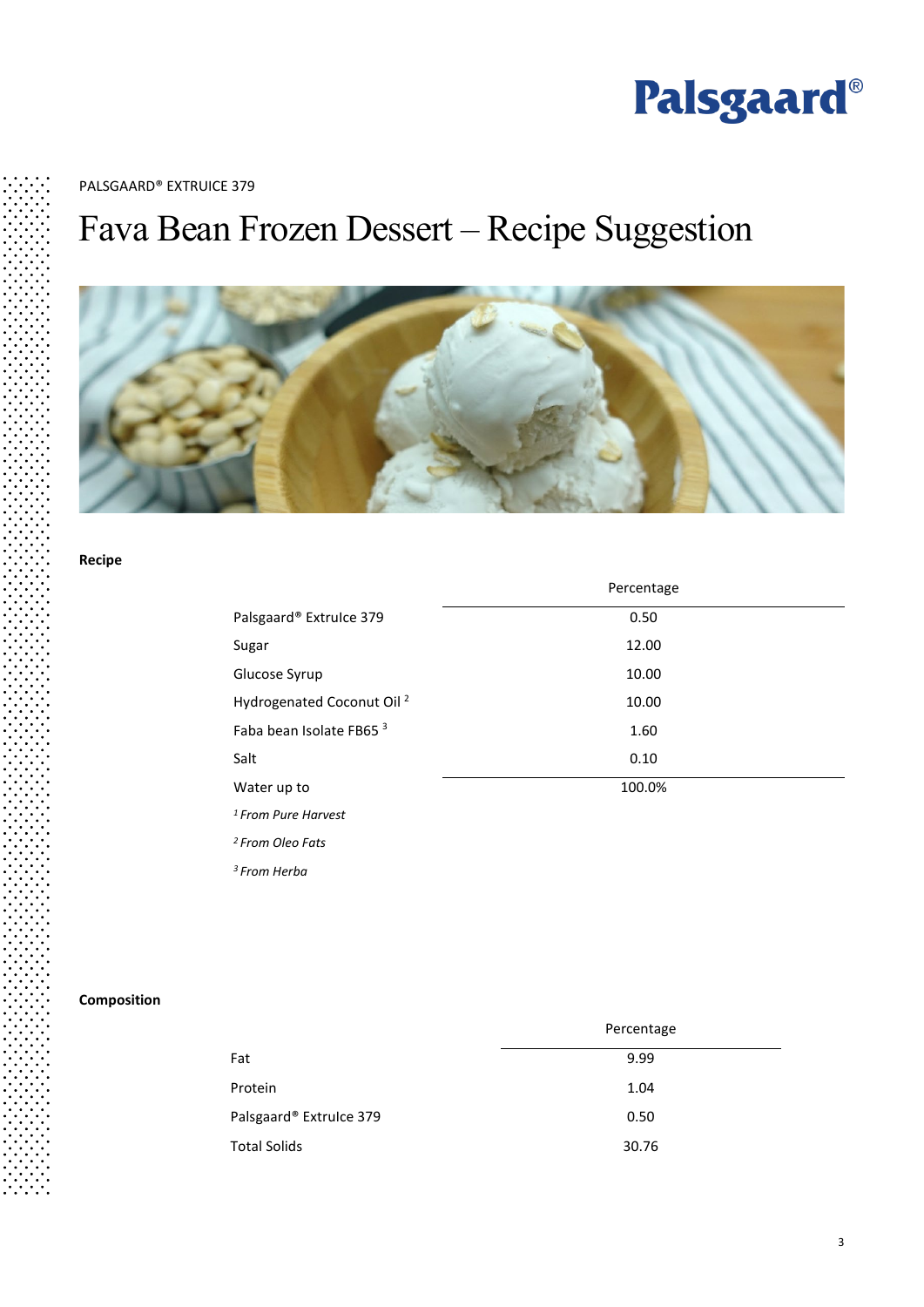

PALSGAARD® EXTRUICE 379

## Fava Bean Frozen Dessert – Recipe Suggestion



#### **Recipe**

|                                       | Percentage |
|---------------------------------------|------------|
| Palsgaard® Extruice 379               | 0.50       |
| Sugar                                 | 12.00      |
| Glucose Syrup                         | 10.00      |
| Hydrogenated Coconut Oil <sup>2</sup> | 10.00      |
| Faba bean Isolate FB65 <sup>3</sup>   | 1.60       |
| Salt                                  | 0.10       |
| Water up to                           | 100.0%     |
| <sup>1</sup> From Pure Harvest        |            |
|                                       |            |

*2 From Oleo Fats*

*3 From Herba*

#### **Composition**

|                         | Percentage |
|-------------------------|------------|
| Fat                     | 9.99       |
| Protein                 | 1.04       |
| Palsgaard® Extruice 379 | 0.50       |
| <b>Total Solids</b>     | 30.76      |